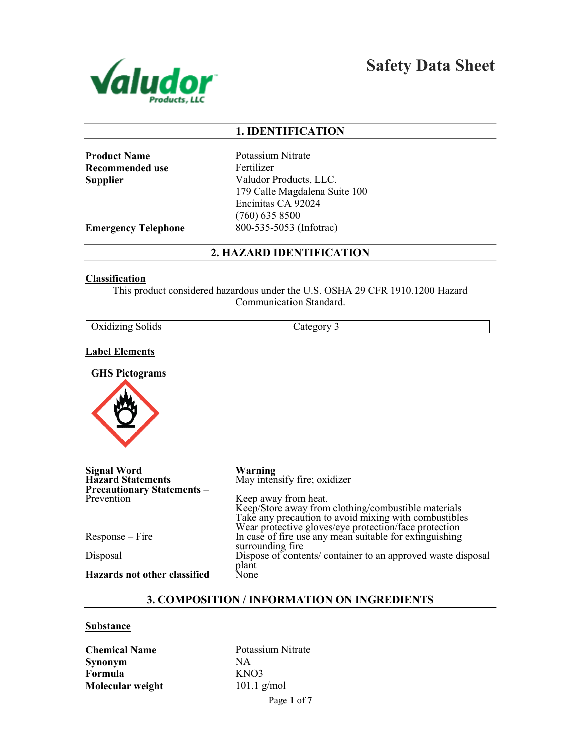

Safety Data Sheet

## 1. IDENTIFICATION

Product Name Recommended use **Supplier** 

Potassium Nitrate Fertilizer Valudor Products, LLC. 179 Calle Magdalena Suite 100 Encinitas CA 92024 (760) 635 8500 800-535-5053 (Infotrac)

Emergency Telephone

2. HAZARD IDENTIFICATION

## **Classification**

This product considered hazardous under the U.S. OSHA 29 CFR 1910.1200 Hazard<br>Communication Standard.

| Oxidizing | _ategor |
|-----------|---------|
| Solids    | - -     |
|           | ------  |

#### Label Elements

GHS Pictograms



| <b>Signal Word</b><br><b>Hazard Statements</b><br><b>Precautionary Statements -</b> | Warning<br>May intensify fire; oxidizer                                                                                                                               |
|-------------------------------------------------------------------------------------|-----------------------------------------------------------------------------------------------------------------------------------------------------------------------|
| Prevention                                                                          | Keep away from heat.                                                                                                                                                  |
|                                                                                     | Keep/Store away from clothing/combustible materials<br>Take any precaution to avoid mixing with combustibles<br>Wear protective gloves/eye protection/face protection |
| $Response - Fire$                                                                   | In case of fire use any mean suitable for extinguishing<br>surrounding fire                                                                                           |
| Disposal                                                                            | Dispose of contents/container to an approved waste disposal                                                                                                           |
| Hazards not other classified                                                        | plant<br>None                                                                                                                                                         |

## 3. COMPOSITION / INFORMATION ON INGREDIENTS

#### **Substance**

Chemical Name Synonym Formula Molecular weight

Page 1 of 7 Potassium Nitrate NA KNO3 101.1 g/mol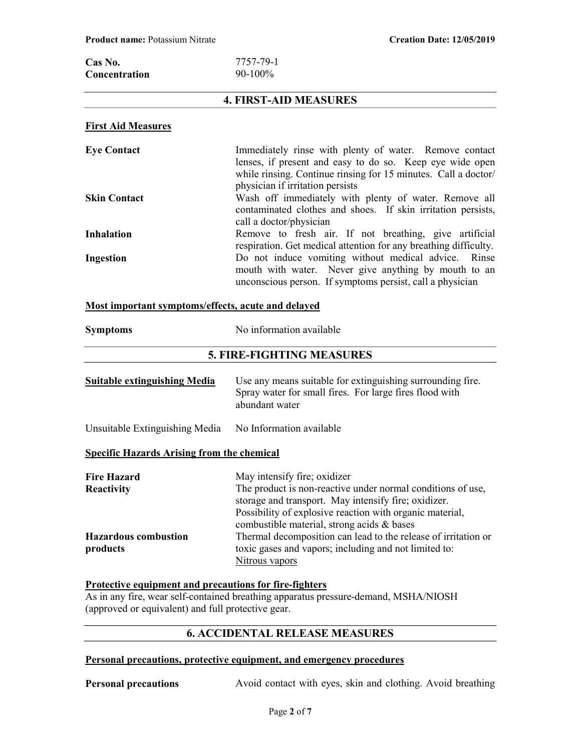| Cas No.              | 7757-79-1  |
|----------------------|------------|
| <b>Concentration</b> | $90-100\%$ |

## 4. FIRST-AID MEASURES

### First Aid Measures

| <b>Eye Contact</b>  | Immediately rinse with plenty of water. Remove contact           |
|---------------------|------------------------------------------------------------------|
|                     | lenses, if present and easy to do so. Keep eye wide open         |
|                     | while rinsing. Continue rinsing for 15 minutes. Call a doctor/   |
|                     | physician if irritation persists                                 |
| <b>Skin Contact</b> | Wash off immediately with plenty of water. Remove all            |
|                     | contaminated clothes and shoes. If skin irritation persists,     |
|                     | call a doctor/physician                                          |
| <b>Inhalation</b>   | Remove to fresh air. If not breathing, give artificial           |
|                     | respiration. Get medical attention for any breathing difficulty. |
| Ingestion           | Do not induce vomiting without medical advice. Rinse             |
|                     | mouth with water. Never give anything by mouth to an             |
|                     | unconscious person. If symptoms persist, call a physician        |

#### Most important symptoms/effects, acute and delayed

| <b>Symptoms</b>                                   | No information available                                                                                                                                                                                        |
|---------------------------------------------------|-----------------------------------------------------------------------------------------------------------------------------------------------------------------------------------------------------------------|
|                                                   | <b>5. FIRE-FIGHTING MEASURES</b>                                                                                                                                                                                |
| <b>Suitable extinguishing Media</b>               | Use any means suitable for extinguishing surrounding fire.<br>Spray water for small fires. For large fires flood with<br>abundant water                                                                         |
| Unsuitable Extinguishing Media                    | No Information available                                                                                                                                                                                        |
| <b>Specific Hazards Arising from the chemical</b> |                                                                                                                                                                                                                 |
| <b>Fire Hazard</b><br><b>Reactivity</b>           | May intensify fire; oxidizer<br>The product is non-reactive under normal conditions of use,<br>storage and transport. May intensify fire; oxidizer.<br>Possibility of explosive reaction with organic material, |

|                             | Possibility of explosive reaction with organic material,       |
|-----------------------------|----------------------------------------------------------------|
|                             | combustible material, strong acids & bases                     |
| <b>Hazardous combustion</b> | Thermal decomposition can lead to the release of irritation or |
| products                    | toxic gases and vapors; including and not limited to:          |
|                             | Nitrous vapors                                                 |

# Protective equipment and precautions for fire-fighters

As in any fire, wear self-contained breathing apparatus pressure-demand, MSHA/NIOSH (approved or equivalent) and full protective gear.

# 6. ACCIDENTAL RELEASE MEASURES

## Personal precautions, protective equipment, and emergency procedures

Personal precautions Avoid contact with eyes, skin and clothing. Avoid breathing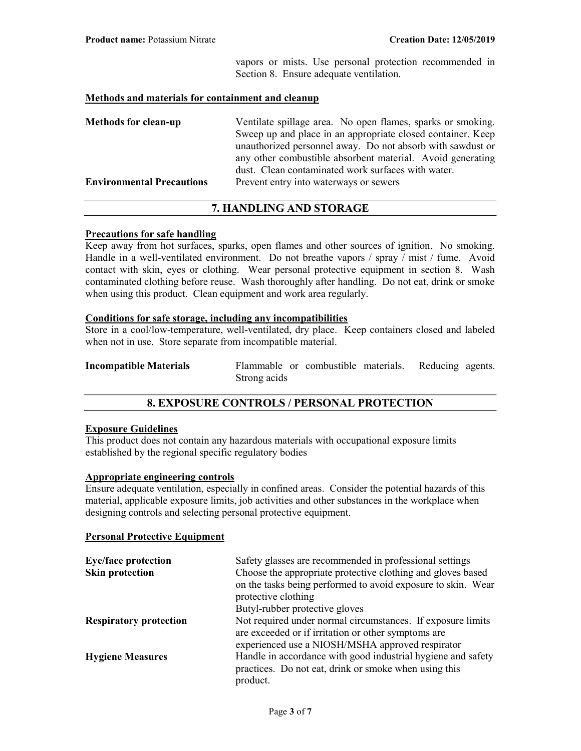vapors or mists. Use personal protection recommended in Section 8. Ensure adequate ventilation.

#### Methods and materials for containment and cleanup

| <b>Methods for clean-up</b>      | Ventilate spillage area. No open flames, sparks or smoking. |
|----------------------------------|-------------------------------------------------------------|
|                                  | Sweep up and place in an appropriate closed container. Keep |
|                                  | unauthorized personnel away. Do not absorb with sawdust or  |
|                                  | any other combustible absorbent material. Avoid generating  |
|                                  | dust. Clean contaminated work surfaces with water.          |
| <b>Environmental Precautions</b> | Prevent entry into waterways or sewers                      |

## 7. HANDLING AND STORAGE

#### Precautions for safe handling

Keep away from hot surfaces, sparks, open flames and other sources of ignition. No smoking. Handle in a well-ventilated environment. Do not breathe vapors / spray / mist / fume. Avoid contact with skin, eyes or clothing. Wear personal protective equipment in section 8. Wash contaminated clothing before reuse. Wash thoroughly after handling. Do not eat, drink or smoke when using this product. Clean equipment and work area regularly.

## Conditions for safe storage, including any incompatibilities

Store in a cool/low-temperature, well-ventilated, dry place. Keep containers closed and labeled when not in use. Store separate from incompatible material.

| <b>Incompatible Materials</b> |              | Flammable or combustible materials. Reducing agents. |  |  |
|-------------------------------|--------------|------------------------------------------------------|--|--|
|                               | Strong acids |                                                      |  |  |

## 8. EXPOSURE CONTROLS / PERSONAL PROTECTION

## Exposure Guidelines

This product does not contain any hazardous materials with occupational exposure limits established by the regional specific regulatory bodies

#### Appropriate engineering controls

Ensure adequate ventilation, especially in confined areas. Consider the potential hazards of this material, applicable exposure limits, job activities and other substances in the workplace when designing controls and selecting personal protective equipment.

### Personal Protective Equipment

| <b>Eye/face protection</b>    | Safety glasses are recommended in professional settings                                                            |
|-------------------------------|--------------------------------------------------------------------------------------------------------------------|
| <b>Skin protection</b>        | Choose the appropriate protective clothing and gloves based                                                        |
|                               | on the tasks being performed to avoid exposure to skin. Wear                                                       |
|                               | protective clothing                                                                                                |
|                               | Butyl-rubber protective gloves                                                                                     |
| <b>Respiratory protection</b> | Not required under normal circumstances. If exposure limits<br>are exceeded or if irritation or other symptoms are |
|                               | experienced use a NIOSH/MSHA approved respirator                                                                   |
| <b>Hygiene Measures</b>       | Handle in accordance with good industrial hygiene and safety                                                       |
|                               | practices. Do not eat, drink or smoke when using this                                                              |
|                               | product.                                                                                                           |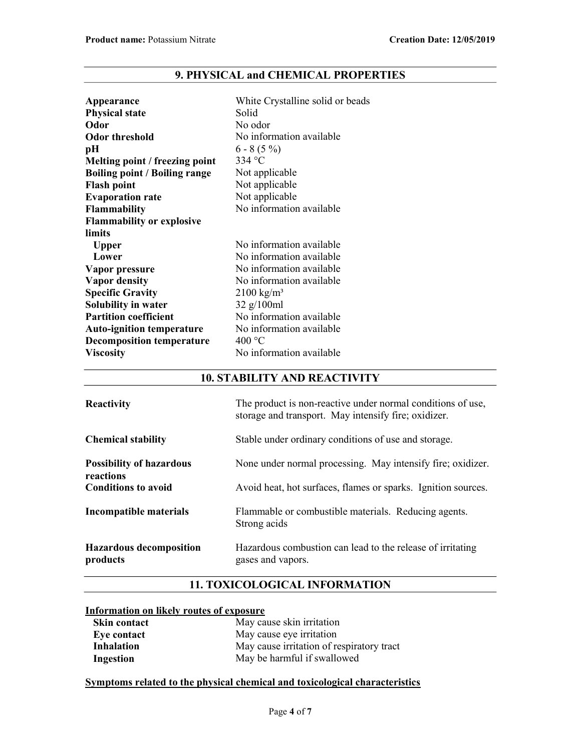| Appearance                           | White Crystalline solid or beads |
|--------------------------------------|----------------------------------|
| <b>Physical state</b>                | Solid                            |
| Odor                                 | No odor                          |
| <b>Odor threshold</b>                | No information available         |
| pН                                   | $6 - 8(5\%)$                     |
| Melting point / freezing point       | 334 $\mathrm{^{\circ}C}$         |
| <b>Boiling point / Boiling range</b> | Not applicable                   |
| <b>Flash point</b>                   | Not applicable                   |
| <b>Evaporation rate</b>              | Not applicable                   |
| <b>Flammability</b>                  | No information available         |
| <b>Flammability or explosive</b>     |                                  |
| limits                               |                                  |
| <b>Upper</b>                         | No information available         |
| Lower                                | No information available         |
| Vapor pressure                       | No information available         |
| <b>Vapor density</b>                 | No information available         |
| <b>Specific Gravity</b>              | $2100 \text{ kg/m}^3$            |
| Solubility in water                  | $32 \frac{g}{100}$ ml            |
| <b>Partition coefficient</b>         | No information available         |
| <b>Auto-ignition temperature</b>     | No information available         |
| <b>Decomposition temperature</b>     | 400 °C                           |
| <b>Viscosity</b>                     | No information available         |

# 9. PHYSICAL and CHEMICAL PROPERTIES

# 10. STABILITY AND REACTIVITY

| <b>Reactivity</b>                            | The product is non-reactive under normal conditions of use,<br>storage and transport. May intensify fire; oxidizer. |
|----------------------------------------------|---------------------------------------------------------------------------------------------------------------------|
| <b>Chemical stability</b>                    | Stable under ordinary conditions of use and storage.                                                                |
| <b>Possibility of hazardous</b><br>reactions | None under normal processing. May intensify fire; oxidizer.                                                         |
| <b>Conditions to avoid</b>                   | Avoid heat, hot surfaces, flames or sparks. Ignition sources.                                                       |
| <b>Incompatible materials</b>                | Flammable or combustible materials. Reducing agents.<br>Strong acids                                                |
| <b>Hazardous decomposition</b><br>products   | Hazardous combustion can lead to the release of irritating<br>gases and vapors.                                     |

# 11. TOXICOLOGICAL INFORMATION

## Information on likely routes of exposure

| <b>Skin contact</b> | May cause skin irritation                 |
|---------------------|-------------------------------------------|
| Eye contact         | May cause eye irritation                  |
| Inhalation          | May cause irritation of respiratory tract |
| Ingestion           | May be harmful if swallowed               |

## Symptoms related to the physical chemical and toxicological characteristics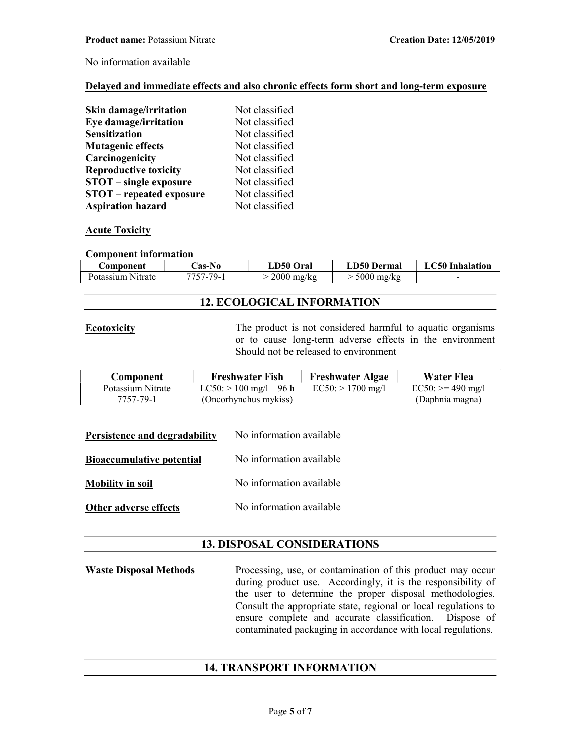No information available

### Delayed and immediate effects and also chronic effects form short and long-term exposure

| Skin damage/irritation          | Not classified |
|---------------------------------|----------------|
| Eye damage/irritation           | Not classified |
| <b>Sensitization</b>            | Not classified |
| <b>Mutagenic effects</b>        | Not classified |
| Carcinogenicity                 | Not classified |
| <b>Reproductive toxicity</b>    | Not classified |
| <b>STOT</b> – single exposure   | Not classified |
| <b>STOT</b> – repeated exposure | Not classified |
| <b>Aspiration hazard</b>        | Not classified |

## Acute Toxicity

#### Component information

| Component         | <b>Cas-No</b> | LD50 Oral    | <b>LD50 Dermal</b> | LC50 Inhalation |
|-------------------|---------------|--------------|--------------------|-----------------|
| Potassium Nitrate | $7757 - 79 -$ | $2000$ mg/kg | $\cdot$ 5000 mg/kg | -               |

## 12. ECOLOGICAL INFORMATION

**Ecotoxicity** The product is not considered harmful to aquatic organisms or to cause long-term adverse effects in the environment Should not be released to environment

| Component         | <b>Freshwater Fish</b>       | <b>Freshwater Algae</b> | <b>Water Flea</b>  |
|-------------------|------------------------------|-------------------------|--------------------|
| Potassium Nitrate | $LC50$ : $> 100$ mg/l – 96 h | $EC50:$ > 1700 mg/l     | $EC50: = 490$ mg/l |
| 7757-79-1         | (Oncorhynchus mykiss)        |                         | (Daphnia magna)    |

| Persistence and degradability | No information available |
|-------------------------------|--------------------------|
|-------------------------------|--------------------------|

Bioaccumulative potential No information available

Mobility in soil No information available

Other adverse effects No information available

## 13. DISPOSAL CONSIDERATIONS

Waste Disposal Methods Processing, use, or contamination of this product may occur during product use. Accordingly, it is the responsibility of the user to determine the proper disposal methodologies. Consult the appropriate state, regional or local regulations to ensure complete and accurate classification. Dispose of contaminated packaging in accordance with local regulations.

## 14. TRANSPORT INFORMATION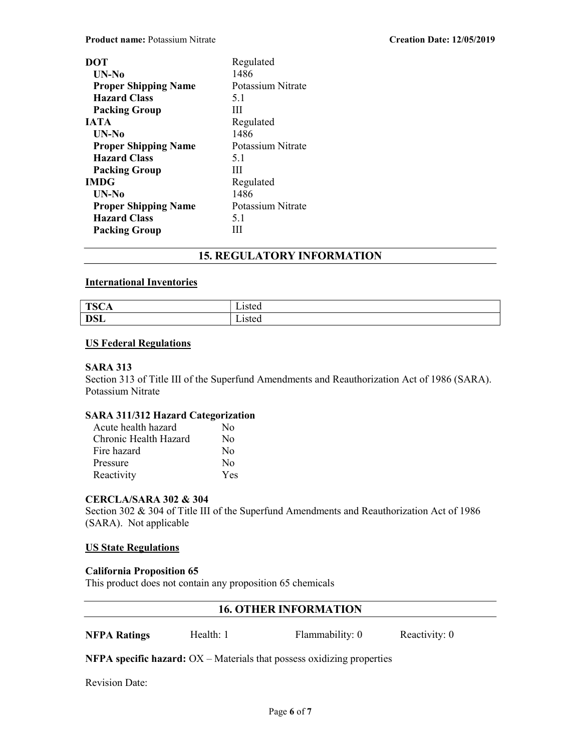| DOT                         | Regulated         |
|-----------------------------|-------------------|
| $UN-N0$                     | 1486              |
| <b>Proper Shipping Name</b> | Potassium Nitrate |
| <b>Hazard Class</b>         | 5.1               |
| <b>Packing Group</b>        | Ш                 |
| <b>IATA</b>                 | Regulated         |
| UN-No                       | 1486              |
| <b>Proper Shipping Name</b> | Potassium Nitrate |
| <b>Hazard Class</b>         | 5.1               |
| <b>Packing Group</b>        | Ш                 |
| <b>IMDG</b>                 | Regulated         |
| UN-No                       | 1486              |
| <b>Proper Shipping Name</b> | Potassium Nitrate |
| <b>Hazard Class</b>         | 5.1               |
| <b>Packing Group</b>        | ш                 |

# 15. REGULATORY INFORMATION

## International Inventories

| TCC<br>15CA | - .<br>1sted<br>⊿sicu |
|-------------|-----------------------|
| DCL         | teted                 |
| <b>DOL</b>  | ∟isicu                |

## US Federal Regulations

## SARA 313

Section 313 of Title III of the Superfund Amendments and Reauthorization Act of 1986 (SARA). Potassium Nitrate

## SARA 311/312 Hazard Categorization

| Acute health hazard   | No  |
|-----------------------|-----|
| Chronic Health Hazard | No  |
| Fire hazard           | No  |
| Pressure              | No  |
| Reactivity            | Yes |

## CERCLA/SARA 302 & 304

Section 302 & 304 of Title III of the Superfund Amendments and Reauthorization Act of 1986 (SARA). Not applicable

## US State Regulations

## California Proposition 65

This product does not contain any proposition 65 chemicals

## 16. OTHER INFORMATION

**NFPA Ratings** Health: 1 Flammability: 0 Reactivity: 0

**NFPA specific hazard:**  $OX - Materials$  that possess oxidizing properties

Revision Date: